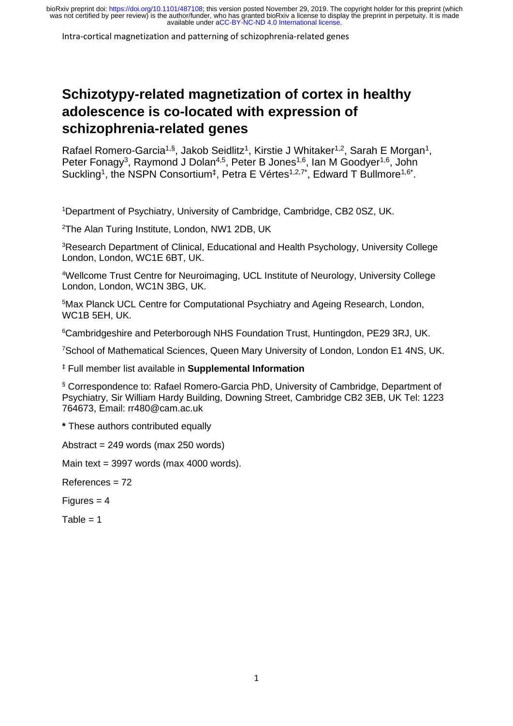Intra-cortical magnetization and patterning of schizophrenia-related genes

# **Schizotypy-related magnetization of cortex in healthy adolescence is co-located with expression of schizophrenia-related genes**

Rafael Romero-Garcia<sup>1,§</sup>, Jakob Seidlitz<sup>1</sup>, Kirstie J Whitaker<sup>1,2</sup>, Sarah E Morgan<sup>1</sup>, Peter Fonagy<sup>3</sup>, Raymond J Dolan<sup>4,5</sup>, Peter B Jones<sup>1,6</sup>, Ian M Goodyer<sup>1,6</sup>, John Suckling<sup>1</sup>, the NSPN Consortium<sup>‡</sup>, Petra E Vértes<sup>1,2,7\*</sup>, Edward T Bullmore<sup>1,6\*</sup>.

<sup>1</sup>Department of Psychiatry, University of Cambridge, Cambridge, CB2 0SZ, UK.

<sup>2</sup>The Alan Turing Institute, London, NW1 2DB, UK

<sup>3</sup>Research Department of Clinical, Educational and Health Psychology, University College London, London, WC1E 6BT, UK.

<sup>4</sup>Wellcome Trust Centre for Neuroimaging, UCL Institute of Neurology, University College London, London, WC1N 3BG, UK.

<sup>5</sup>Max Planck UCL Centre for Computational Psychiatry and Ageing Research, London, WC1B 5EH, UK.

<sup>6</sup>Cambridgeshire and Peterborough NHS Foundation Trust, Huntingdon, PE29 3RJ, UK.

<sup>7</sup>School of Mathematical Sciences, Queen Mary University of London, London E1 4NS, UK.

‡ Full member list available in **Supplemental Information**

§ Correspondence to: Rafael Romero-Garcia PhD, University of Cambridge, Department of Psychiatry, Sir William Hardy Building, Downing Street, Cambridge CB2 3EB, UK Tel: 1223 764673, Email: rr480@cam.ac.uk

**\*** These authors contributed equally

Abstract = 249 words (max 250 words)

Main text = 3997 words (max 4000 words).

References = 72

 $Fiqures = 4$ 

 $Table = 1$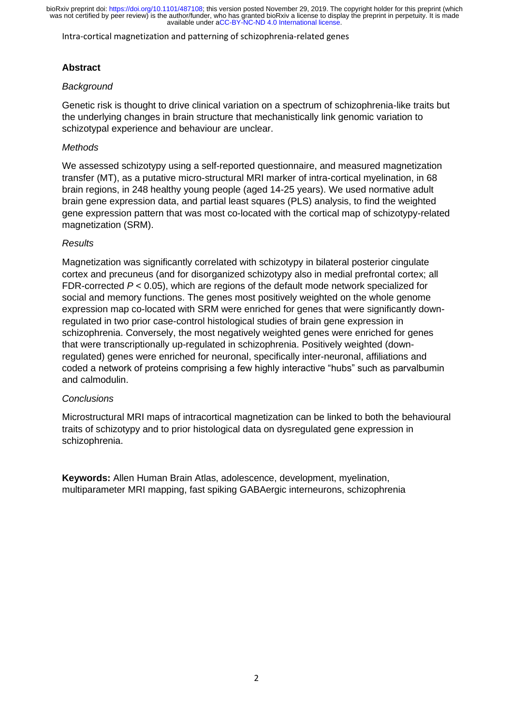Intra-cortical magnetization and patterning of schizophrenia-related genes

# **Abstract**

#### *Background*

Genetic risk is thought to drive clinical variation on a spectrum of schizophrenia-like traits but the underlying changes in brain structure that mechanistically link genomic variation to schizotypal experience and behaviour are unclear.

#### *Methods*

We assessed schizotypy using a self-reported questionnaire, and measured magnetization transfer (MT), as a putative micro-structural MRI marker of intra-cortical myelination, in 68 brain regions, in 248 healthy young people (aged 14-25 years). We used normative adult brain gene expression data, and partial least squares (PLS) analysis, to find the weighted gene expression pattern that was most co-located with the cortical map of schizotypy-related magnetization (SRM).

#### *Results*

Magnetization was significantly correlated with schizotypy in bilateral posterior cingulate cortex and precuneus (and for disorganized schizotypy also in medial prefrontal cortex; all FDR-corrected *P* < 0.05), which are regions of the default mode network specialized for social and memory functions. The genes most positively weighted on the whole genome expression map co-located with SRM were enriched for genes that were significantly downregulated in two prior case-control histological studies of brain gene expression in schizophrenia. Conversely, the most negatively weighted genes were enriched for genes that were transcriptionally up-regulated in schizophrenia. Positively weighted (downregulated) genes were enriched for neuronal, specifically inter-neuronal, affiliations and coded a network of proteins comprising a few highly interactive "hubs" such as parvalbumin and calmodulin.

#### *Conclusions*

Microstructural MRI maps of intracortical magnetization can be linked to both the behavioural traits of schizotypy and to prior histological data on dysregulated gene expression in schizophrenia.

**Keywords:** Allen Human Brain Atlas, adolescence, development, myelination, multiparameter MRI mapping, fast spiking GABAergic interneurons, schizophrenia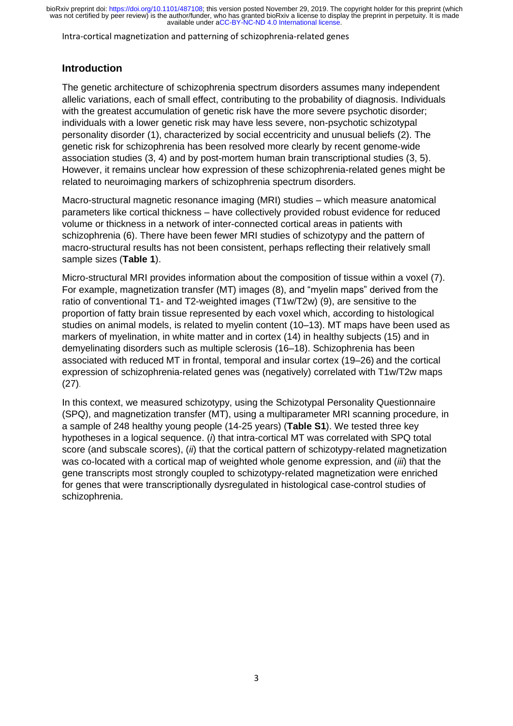Intra-cortical magnetization and patterning of schizophrenia-related genes

# **Introduction**

The genetic architecture of schizophrenia spectrum disorders assumes many independent allelic variations, each of small effect, contributing to the probability of diagnosis. Individuals with the greatest accumulation of genetic risk have the more severe psychotic disorder; individuals with a lower genetic risk may have less severe, non-psychotic schizotypal personality disorder (1), characterized by social eccentricity and unusual beliefs (2). The genetic risk for schizophrenia has been resolved more clearly by recent genome-wide association studies (3, 4) and by post-mortem human brain transcriptional studies (3, 5). However, it remains unclear how expression of these schizophrenia-related genes might be related to neuroimaging markers of schizophrenia spectrum disorders.

Macro-structural magnetic resonance imaging (MRI) studies – which measure anatomical parameters like cortical thickness – have collectively provided robust evidence for reduced volume or thickness in a network of inter-connected cortical areas in patients with schizophrenia (6). There have been fewer MRI studies of schizotypy and the pattern of macro-structural results has not been consistent, perhaps reflecting their relatively small sample sizes (**Table 1**).

Micro-structural MRI provides information about the composition of tissue within a voxel (7). For example, magnetization transfer (MT) images (8), and "myelin maps" derived from the ratio of conventional T1- and T2-weighted images (T1w/T2w) (9), are sensitive to the proportion of fatty brain tissue represented by each voxel which, according to histological studies on animal models, is related to myelin content (10–13). MT maps have been used as markers of myelination, in white matter and in cortex (14) in healthy subjects (15) and in demyelinating disorders such as multiple sclerosis (16–18). Schizophrenia has been associated with reduced MT in frontal, temporal and insular cortex (19–26) and the cortical expression of schizophrenia-related genes was (negatively) correlated with T1w/T2w maps (27).

In this context, we measured schizotypy, using the Schizotypal Personality Questionnaire (SPQ), and magnetization transfer (MT), using a multiparameter MRI scanning procedure, in a sample of 248 healthy young people (14-25 years) (**Table S1**). We tested three key hypotheses in a logical sequence. (*i*) that intra-cortical MT was correlated with SPQ total score (and subscale scores), (*ii*) that the cortical pattern of schizotypy-related magnetization was co-located with a cortical map of weighted whole genome expression, and (*iii*) that the gene transcripts most strongly coupled to schizotypy-related magnetization were enriched for genes that were transcriptionally dysregulated in histological case-control studies of schizophrenia.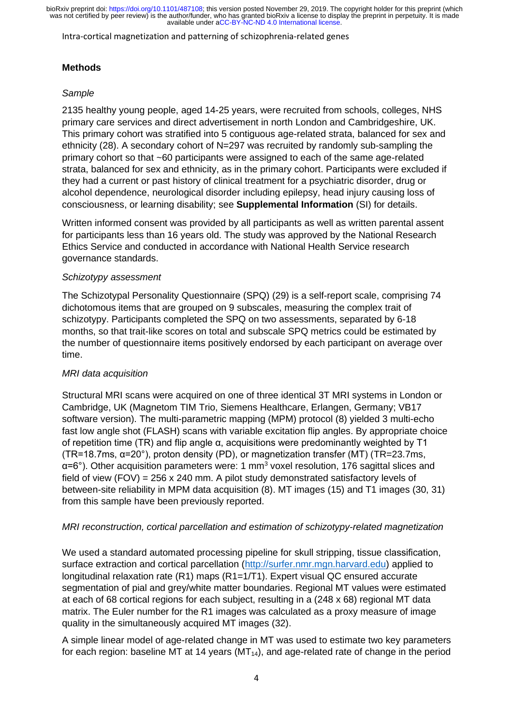Intra-cortical magnetization and patterning of schizophrenia-related genes

# **Methods**

#### *Sample*

2135 healthy young people, aged 14-25 years, were recruited from schools, colleges, NHS primary care services and direct advertisement in north London and Cambridgeshire, UK. This primary cohort was stratified into 5 contiguous age-related strata, balanced for sex and ethnicity (28). A secondary cohort of N=297 was recruited by randomly sub-sampling the primary cohort so that ~60 participants were assigned to each of the same age-related strata, balanced for sex and ethnicity, as in the primary cohort. Participants were excluded if they had a current or past history of clinical treatment for a psychiatric disorder, drug or alcohol dependence, neurological disorder including epilepsy, head injury causing loss of consciousness, or learning disability; see **Supplemental Information** (SI) for details.

Written informed consent was provided by all participants as well as written parental assent for participants less than 16 years old. The study was approved by the National Research Ethics Service and conducted in accordance with National Health Service research governance standards.

#### *Schizotypy assessment*

The Schizotypal Personality Questionnaire (SPQ) (29) is a self-report scale, comprising 74 dichotomous items that are grouped on 9 subscales, measuring the complex trait of schizotypy. Participants completed the SPQ on two assessments, separated by 6-18 months, so that trait-like scores on total and subscale SPQ metrics could be estimated by the number of questionnaire items positively endorsed by each participant on average over time.

# *MRI data acquisition*

Structural MRI scans were acquired on one of three identical 3T MRI systems in London or Cambridge, UK (Magnetom TIM Trio, Siemens Healthcare, Erlangen, Germany; VB17 software version). The multi-parametric mapping (MPM) protocol (8) yielded 3 multi-echo fast low angle shot (FLASH) scans with variable excitation flip angles. By appropriate choice of repetition time (TR) and flip angle α, acquisitions were predominantly weighted by T1 (TR=18.7ms,  $\alpha$ =20°), proton density (PD), or magnetization transfer (MT) (TR=23.7ms,  $\alpha$ =6°). Other acquisition parameters were: 1 mm<sup>3</sup> voxel resolution, 176 sagittal slices and field of view (FOV) =  $256 \times 240$  mm. A pilot study demonstrated satisfactory levels of between-site reliability in MPM data acquisition (8). MT images (15) and T1 images (30, 31) from this sample have been previously reported.

# *MRI reconstruction, cortical parcellation and estimation of schizotypy-related magnetization*

We used a standard automated processing pipeline for skull stripping, tissue classification, surface extraction and cortical parcellation [\(http://surfer.nmr.mgn.harvard.edu\)](http://surfer.nmr.mgn.harvard.edu/) applied to longitudinal relaxation rate (R1) maps (R1=1/T1). Expert visual QC ensured accurate segmentation of pial and grey/white matter boundaries. Regional MT values were estimated at each of 68 cortical regions for each subject, resulting in a (248 x 68) regional MT data matrix. The Euler number for the R1 images was calculated as a proxy measure of image quality in the simultaneously acquired MT images (32).

A simple linear model of age-related change in MT was used to estimate two key parameters for each region: baseline MT at 14 years  $(MT_{14})$ , and age-related rate of change in the period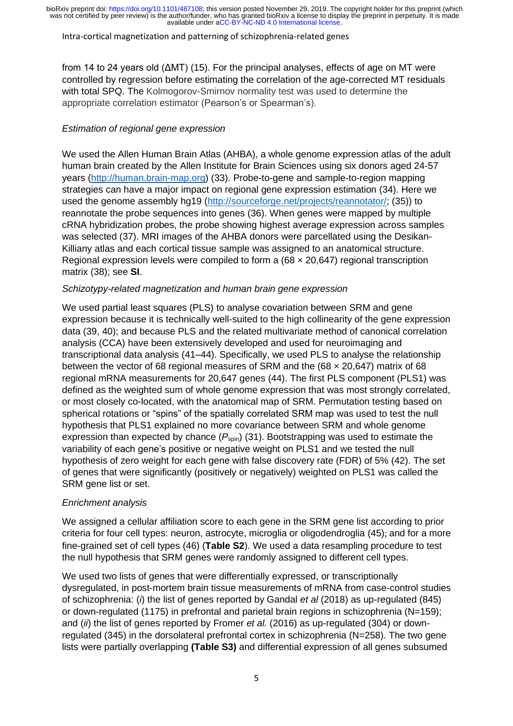#### Intra-cortical magnetization and patterning of schizophrenia-related genes

from 14 to 24 years old (ΔMT) (15). For the principal analyses, effects of age on MT were controlled by regression before estimating the correlation of the age-corrected MT residuals with total SPQ. The Kolmogorov-Smirnov normality test was used to determine the appropriate correlation estimator (Pearson's or Spearman's).

# *Estimation of regional gene expression*

We used the Allen Human Brain Atlas (AHBA), a whole genome expression atlas of the adult human brain created by the Allen Institute for Brain Sciences using six donors aged 24-57 years [\(http://human.brain-map.org\)](http://human.brain-map.org/) (33). Probe-to-gene and sample-to-region mapping strategies can have a major impact on regional gene expression estimation (34). Here we used the genome assembly hg19 [\(http://sourceforge.net/projects/reannotator/;](http://sourceforge.net/projects/reannotator/) (35)) to reannotate the probe sequences into genes (36). When genes were mapped by multiple cRNA hybridization probes, the probe showing highest average expression across samples was selected (37). MRI images of the AHBA donors were parcellated using the Desikan-Killiany atlas and each cortical tissue sample was assigned to an anatomical structure. Regional expression levels were compiled to form a  $(68 \times 20, 647)$  regional transcription matrix (38); see **SI**.

#### *Schizotypy-related magnetization and human brain gene expression*

We used partial least squares (PLS) to analyse covariation between SRM and gene expression because it is technically well-suited to the high collinearity of the gene expression data (39, 40); and because PLS and the related multivariate method of canonical correlation analysis (CCA) have been extensively developed and used for neuroimaging and transcriptional data analysis (41–44). Specifically, we used PLS to analyse the relationship between the vector of 68 regional measures of SRM and the  $(68 \times 20.647)$  matrix of 68 regional mRNA measurements for 20,647 genes (44). The first PLS component (PLS1) was defined as the weighted sum of whole genome expression that was most strongly correlated, or most closely co-located, with the anatomical map of SRM. Permutation testing based on spherical rotations or "spins" of the spatially correlated SRM map was used to test the null hypothesis that PLS1 explained no more covariance between SRM and whole genome expression than expected by chance  $(P_{\text{spin}})$  (31). Bootstrapping was used to estimate the variability of each gene's positive or negative weight on PLS1 and we tested the null hypothesis of zero weight for each gene with false discovery rate (FDR) of 5% (42). The set of genes that were significantly (positively or negatively) weighted on PLS1 was called the SRM gene list or set.

# *Enrichment analysis*

We assigned a cellular affiliation score to each gene in the SRM gene list according to prior criteria for four cell types: neuron, astrocyte, microglia or oligodendroglia (45); and for a more fine-grained set of cell types (46) (**Table S2**). We used a data resampling procedure to test the null hypothesis that SRM genes were randomly assigned to different cell types.

We used two lists of genes that were differentially expressed, or transcriptionally dysregulated, in post-mortem brain tissue measurements of mRNA from case-control studies of schizophrenia: (*i*) the list of genes reported by Gandal *et al* (2018) as up-regulated (845) or down-regulated (1175) in prefrontal and parietal brain regions in schizophrenia (N=159); and (*ii*) the list of genes reported by Fromer *et al.* (2016) as up-regulated (304) or downregulated (345) in the dorsolateral prefrontal cortex in schizophrenia (N=258). The two gene lists were partially overlapping **(Table S3)** and differential expression of all genes subsumed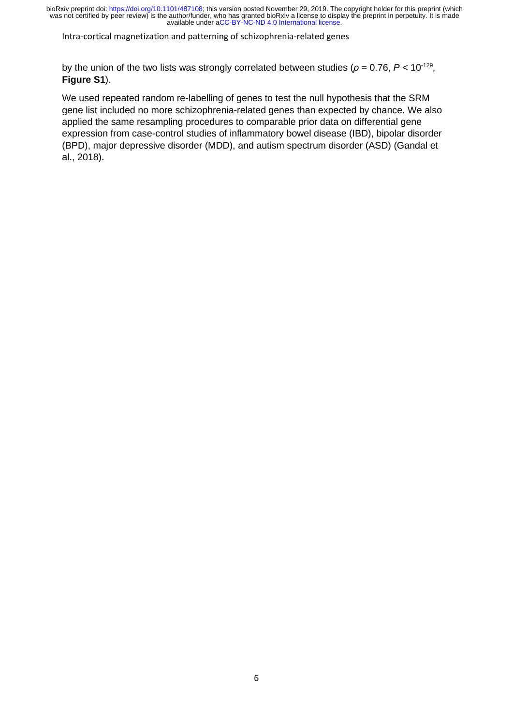Intra-cortical magnetization and patterning of schizophrenia-related genes

by the union of the two lists was strongly correlated between studies ( $\rho$  = 0.76,  $P$  < 10<sup>-129</sup>, **Figure S1**).

We used repeated random re-labelling of genes to test the null hypothesis that the SRM gene list included no more schizophrenia-related genes than expected by chance. We also applied the same resampling procedures to comparable prior data on differential gene expression from case-control studies of inflammatory bowel disease (IBD), bipolar disorder (BPD), major depressive disorder (MDD), and autism spectrum disorder (ASD) (Gandal et al., 2018).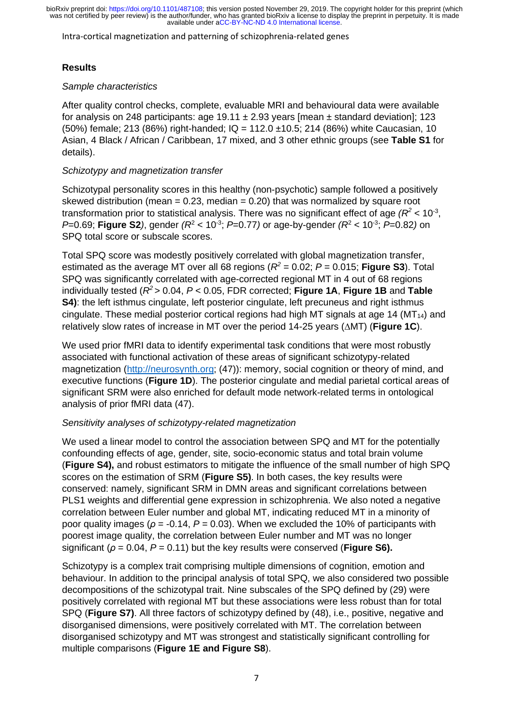Intra-cortical magnetization and patterning of schizophrenia-related genes

# **Results**

#### *Sample characteristics*

After quality control checks, complete, evaluable MRI and behavioural data were available for analysis on 248 participants: age  $19.11 \pm 2.93$  years [mean  $\pm$  standard deviation]; 123 (50%) female; 213 (86%) right-handed; IQ = 112.0 ±10.5; 214 (86%) white Caucasian, 10 Asian, 4 Black / African / Caribbean, 17 mixed, and 3 other ethnic groups (see **Table S1** for details).

#### *Schizotypy and magnetization transfer*

Schizotypal personality scores in this healthy (non-psychotic) sample followed a positively skewed distribution (mean  $= 0.23$ , median  $= 0.20$ ) that was normalized by square root transformation prior to statistical analysis. There was no significant effect of age  $(R^2 < 10^{-3},$ *P*=0.69; **Figure S2**), gender  $(R^2 < 10^{-3})$ ; *P*=0.77) or age-by-gender  $(R^2 < 10^{-3})$ ; *P*=0.82) on SPQ total score or subscale scores.

Total SPQ score was modestly positively correlated with global magnetization transfer, estimated as the average MT over all 68 regions ( $R^2$  = 0.02;  $P$  = 0.015; **Figure S3**). Total SPQ was significantly correlated with age-corrected regional MT in 4 out of 68 regions individually tested (*R <sup>2</sup>* > 0.04, *P* < 0.05, FDR corrected; **Figure 1A**, **Figure 1B** and **Table S4)**: the left isthmus cingulate, left posterior cingulate, left precuneus and right isthmus cingulate. These medial posterior cortical regions had high MT signals at age 14 ( $MT<sub>14</sub>$ ) and relatively slow rates of increase in MT over the period 14-25 years ( $\triangle$ MT) (**Figure 1C**).

We used prior fMRI data to identify experimental task conditions that were most robustly associated with functional activation of these areas of significant schizotypy-related magnetization [\(http://neurosynth.org;](http://neurosynth.org/) (47)): memory, social cognition or theory of mind, and executive functions (**Figure 1D**). The posterior cingulate and medial parietal cortical areas of significant SRM were also enriched for default mode network-related terms in ontological analysis of prior fMRI data (47).

# *Sensitivity analyses of schizotypy-related magnetization*

We used a linear model to control the association between SPQ and MT for the potentially confounding effects of age, gender, site, socio-economic status and total brain volume (**Figure S4),** and robust estimators to mitigate the influence of the small number of high SPQ scores on the estimation of SRM (**Figure S5)**. In both cases, the key results were conserved: namely, significant SRM in DMN areas and significant correlations between PLS1 weights and differential gene expression in schizophrenia. We also noted a negative correlation between Euler number and global MT, indicating reduced MT in a minority of poor quality images (*ρ* = -0.14, *P* = 0.03). When we excluded the 10% of participants with poorest image quality, the correlation between Euler number and MT was no longer significant ( $\rho$  = 0.04,  $P$  = 0.11) but the key results were conserved (**Figure S6).** 

Schizotypy is a complex trait comprising multiple dimensions of cognition, emotion and behaviour. In addition to the principal analysis of total SPQ, we also considered two possible decompositions of the schizotypal trait. Nine subscales of the SPQ defined by (29) were positively correlated with regional MT but these associations were less robust than for total SPQ (**Figure S7)**. All three factors of schizotypy defined by (48), i.e., positive, negative and disorganised dimensions, were positively correlated with MT. The correlation between disorganised schizotypy and MT was strongest and statistically significant controlling for multiple comparisons (**Figure 1E and Figure S8**).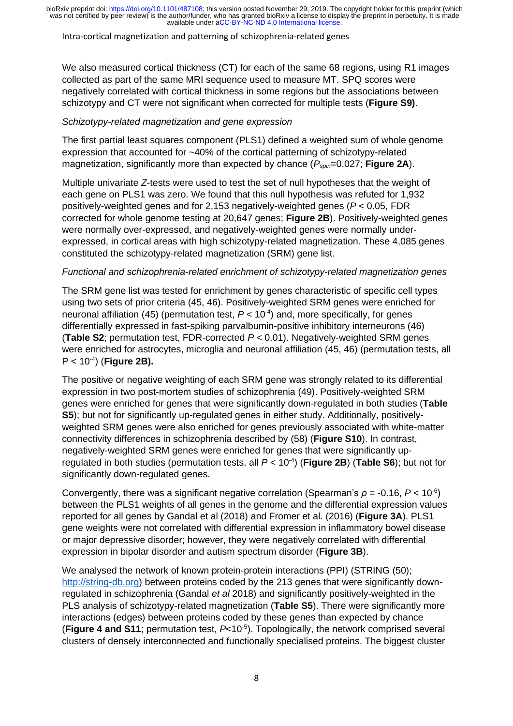#### Intra-cortical magnetization and patterning of schizophrenia-related genes

We also measured cortical thickness (CT) for each of the same 68 regions, using R1 images collected as part of the same MRI sequence used to measure MT. SPQ scores were negatively correlated with cortical thickness in some regions but the associations between schizotypy and CT were not significant when corrected for multiple tests (**Figure S9)**.

#### *Schizotypy-related magnetization and gene expression*

The first partial least squares component (PLS1) defined a weighted sum of whole genome expression that accounted for ~40% of the cortical patterning of schizotypy-related magnetization, significantly more than expected by chance ( $P_{\text{spin}}$ =0.027; **Figure 2A**).

Multiple univariate *Z*-tests were used to test the set of null hypotheses that the weight of each gene on PLS1 was zero. We found that this null hypothesis was refuted for 1,932 positively-weighted genes and for 2,153 negatively-weighted genes (*P* < 0.05, FDR corrected for whole genome testing at 20,647 genes; **Figure 2B**). Positively-weighted genes were normally over-expressed, and negatively-weighted genes were normally underexpressed, in cortical areas with high schizotypy-related magnetization. These 4,085 genes constituted the schizotypy-related magnetization (SRM) gene list.

#### *Functional and schizophrenia-related enrichment of schizotypy-related magnetization genes*

The SRM gene list was tested for enrichment by genes characteristic of specific cell types using two sets of prior criteria (45, 46). Positively-weighted SRM genes were enriched for neuronal affiliation (45) (permutation test,  $P < 10^{-4}$ ) and, more specifically, for genes differentially expressed in fast-spiking parvalbumin-positive inhibitory interneurons (46) (**Table S2**; permutation test, FDR-corrected *P* < 0.01). Negatively-weighted SRM genes were enriched for astrocytes, microglia and neuronal affiliation (45, 46) (permutation tests, all P < 10-4 ) (**Figure 2B).**

The positive or negative weighting of each SRM gene was strongly related to its differential expression in two post-mortem studies of schizophrenia (49). Positively-weighted SRM genes were enriched for genes that were significantly down-regulated in both studies (**Table S5**); but not for significantly up-regulated genes in either study. Additionally, positivelyweighted SRM genes were also enriched for genes previously associated with white-matter connectivity differences in schizophrenia described by (58) (**Figure S10**). In contrast, negatively-weighted SRM genes were enriched for genes that were significantly upregulated in both studies (permutation tests, all *P* < 10-4 ) (**Figure 2B**) (**Table S6**); but not for significantly down-regulated genes.

Convergently, there was a significant negative correlation (Spearman's  $\rho = -0.16$ ,  $P < 10^{-6}$ ) between the PLS1 weights of all genes in the genome and the differential expression values reported for all genes by Gandal et al (2018) and Fromer et al. (2016) (**Figure 3A**). PLS1 gene weights were not correlated with differential expression in inflammatory bowel disease or major depressive disorder; however, they were negatively correlated with differential expression in bipolar disorder and autism spectrum disorder (**Figure 3B**).

We analysed the network of known protein-protein interactions (PPI) (STRING (50); [http://string-db.org\)](http://string-db.org/) between proteins coded by the 213 genes that were significantly downregulated in schizophrenia (Gandal *et al* 2018) and significantly positively-weighted in the PLS analysis of schizotypy-related magnetization (**Table S5**). There were significantly more interactions (edges) between proteins coded by these genes than expected by chance (**Figure 4 and S11**; permutation test, *P*<10-5 ). Topologically, the network comprised several clusters of densely interconnected and functionally specialised proteins. The biggest cluster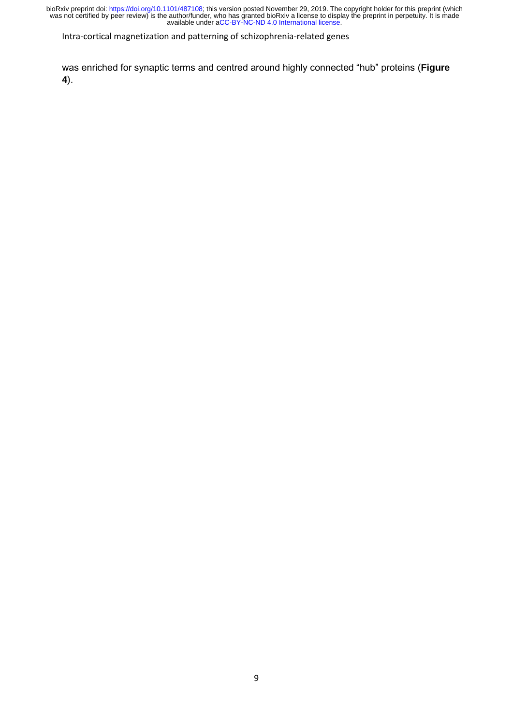Intra-cortical magnetization and patterning of schizophrenia-related genes

was enriched for synaptic terms and centred around highly connected "hub" proteins (**Figure 4**).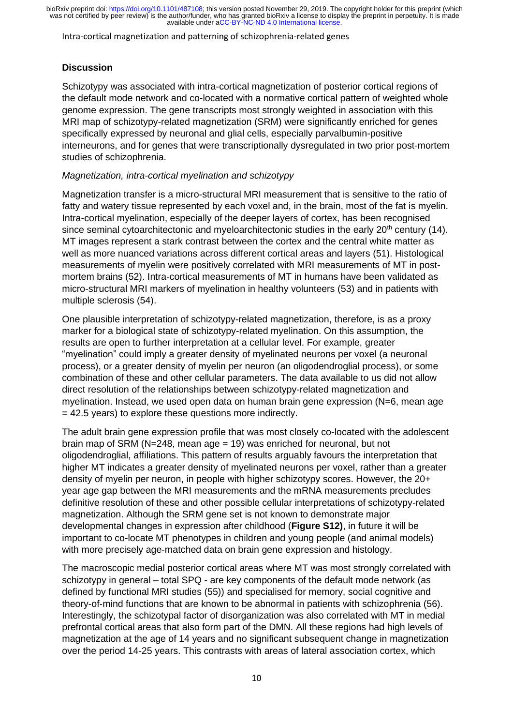Intra-cortical magnetization and patterning of schizophrenia-related genes

#### **Discussion**

Schizotypy was associated with intra-cortical magnetization of posterior cortical regions of the default mode network and co-located with a normative cortical pattern of weighted whole genome expression. The gene transcripts most strongly weighted in association with this MRI map of schizotypy-related magnetization (SRM) were significantly enriched for genes specifically expressed by neuronal and glial cells, especially parvalbumin-positive interneurons, and for genes that were transcriptionally dysregulated in two prior post-mortem studies of schizophrenia.

#### *Magnetization, intra-cortical myelination and schizotypy*

Magnetization transfer is a micro-structural MRI measurement that is sensitive to the ratio of fatty and watery tissue represented by each voxel and, in the brain, most of the fat is myelin. Intra-cortical myelination, especially of the deeper layers of cortex, has been recognised since seminal cytoarchitectonic and myeloarchitectonic studies in the early  $20<sup>th</sup>$  century (14). MT images represent a stark contrast between the cortex and the central white matter as well as more nuanced variations across different cortical areas and layers (51). Histological measurements of myelin were positively correlated with MRI measurements of MT in postmortem brains (52). Intra-cortical measurements of MT in humans have been validated as micro-structural MRI markers of myelination in healthy volunteers (53) and in patients with multiple sclerosis (54).

One plausible interpretation of schizotypy-related magnetization, therefore, is as a proxy marker for a biological state of schizotypy-related myelination. On this assumption, the results are open to further interpretation at a cellular level. For example, greater "myelination" could imply a greater density of myelinated neurons per voxel (a neuronal process), or a greater density of myelin per neuron (an oligodendroglial process), or some combination of these and other cellular parameters. The data available to us did not allow direct resolution of the relationships between schizotypy-related magnetization and myelination. Instead, we used open data on human brain gene expression (N=6, mean age = 42.5 years) to explore these questions more indirectly.

The adult brain gene expression profile that was most closely co-located with the adolescent brain map of SRM (N=248, mean age = 19) was enriched for neuronal, but not oligodendroglial, affiliations. This pattern of results arguably favours the interpretation that higher MT indicates a greater density of myelinated neurons per voxel, rather than a greater density of myelin per neuron, in people with higher schizotypy scores. However, the 20+ year age gap between the MRI measurements and the mRNA measurements precludes definitive resolution of these and other possible cellular interpretations of schizotypy-related magnetization. Although the SRM gene set is not known to demonstrate major developmental changes in expression after childhood (**Figure S12)**, in future it will be important to co-locate MT phenotypes in children and young people (and animal models) with more precisely age-matched data on brain gene expression and histology.

The macroscopic medial posterior cortical areas where MT was most strongly correlated with schizotypy in general – total SPQ - are key components of the default mode network (as defined by functional MRI studies (55)) and specialised for memory, social cognitive and theory-of-mind functions that are known to be abnormal in patients with schizophrenia (56). Interestingly, the schizotypal factor of disorganization was also correlated with MT in medial prefrontal cortical areas that also form part of the DMN. All these regions had high levels of magnetization at the age of 14 years and no significant subsequent change in magnetization over the period 14-25 years. This contrasts with areas of lateral association cortex, which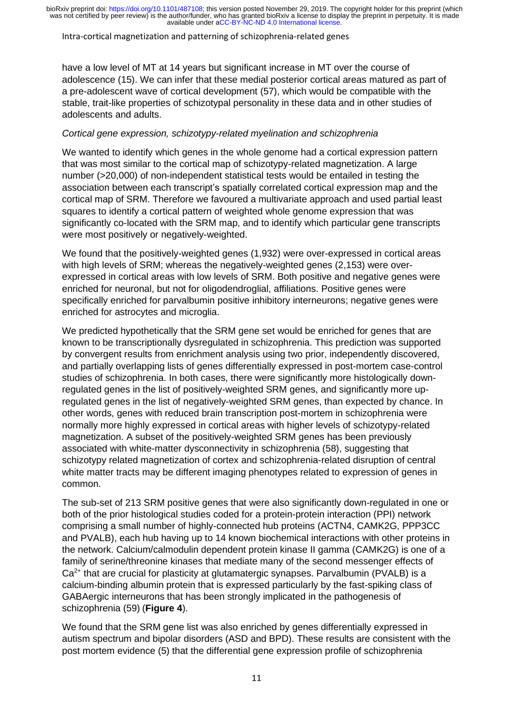Intra-cortical magnetization and patterning of schizophrenia-related genes

have a low level of MT at 14 years but significant increase in MT over the course of adolescence (15). We can infer that these medial posterior cortical areas matured as part of a pre-adolescent wave of cortical development (57), which would be compatible with the stable, trait-like properties of schizotypal personality in these data and in other studies of adolescents and adults.

#### *Cortical gene expression, schizotypy-related myelination and schizophrenia*

We wanted to identify which genes in the whole genome had a cortical expression pattern that was most similar to the cortical map of schizotypy-related magnetization. A large number (>20,000) of non-independent statistical tests would be entailed in testing the association between each transcript's spatially correlated cortical expression map and the cortical map of SRM. Therefore we favoured a multivariate approach and used partial least squares to identify a cortical pattern of weighted whole genome expression that was significantly co-located with the SRM map, and to identify which particular gene transcripts were most positively or negatively-weighted.

We found that the positively-weighted genes (1,932) were over-expressed in cortical areas with high levels of SRM; whereas the negatively-weighted genes (2,153) were overexpressed in cortical areas with low levels of SRM. Both positive and negative genes were enriched for neuronal, but not for oligodendroglial, affiliations. Positive genes were specifically enriched for parvalbumin positive inhibitory interneurons; negative genes were enriched for astrocytes and microglia.

We predicted hypothetically that the SRM gene set would be enriched for genes that are known to be transcriptionally dysregulated in schizophrenia. This prediction was supported by convergent results from enrichment analysis using two prior, independently discovered, and partially overlapping lists of genes differentially expressed in post-mortem case-control studies of schizophrenia. In both cases, there were significantly more histologically downregulated genes in the list of positively-weighted SRM genes, and significantly more upregulated genes in the list of negatively-weighted SRM genes, than expected by chance. In other words, genes with reduced brain transcription post-mortem in schizophrenia were normally more highly expressed in cortical areas with higher levels of schizotypy-related magnetization. A subset of the positively-weighted SRM genes has been previously associated with white-matter dysconnectivity in schizophrenia (58), suggesting that schizotypy related magnetization of cortex and schizophrenia-related disruption of central white matter tracts may be different imaging phenotypes related to expression of genes in common.

The sub-set of 213 SRM positive genes that were also significantly down-regulated in one or both of the prior histological studies coded for a protein-protein interaction (PPI) network comprising a small number of highly-connected hub proteins (ACTN4, CAMK2G, PPP3CC and PVALB), each hub having up to 14 known biochemical interactions with other proteins in the network. Calcium/calmodulin dependent protein kinase II gamma (CAMK2G) is one of a family of serine/threonine kinases that mediate many of the second messenger effects of Ca<sup>2+</sup> that are crucial for plasticity at glutamatergic synapses. Parvalbumin (PVALB) is a calcium-binding albumin protein that is expressed particularly by the fast-spiking class of GABAergic interneurons that has been strongly implicated in the pathogenesis of schizophrenia (59) (**Figure 4**).

We found that the SRM gene list was also enriched by genes differentially expressed in autism spectrum and bipolar disorders (ASD and BPD). These results are consistent with the post mortem evidence (5) that the differential gene expression profile of schizophrenia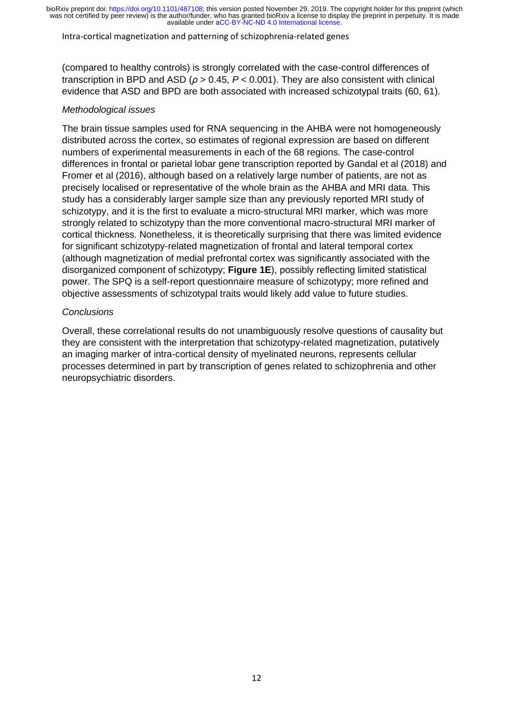#### Intra-cortical magnetization and patterning of schizophrenia-related genes

(compared to healthy controls) is strongly correlated with the case-control differences of transcription in BPD and ASD (*ρ* > 0.45, *P* < 0.001). They are also consistent with clinical evidence that ASD and BPD are both associated with increased schizotypal traits (60, 61).

#### *Methodological issues*

The brain tissue samples used for RNA sequencing in the AHBA were not homogeneously distributed across the cortex, so estimates of regional expression are based on different numbers of experimental measurements in each of the 68 regions. The case-control differences in frontal or parietal lobar gene transcription reported by Gandal et al (2018) and Fromer et al (2016), although based on a relatively large number of patients, are not as precisely localised or representative of the whole brain as the AHBA and MRI data. This study has a considerably larger sample size than any previously reported MRI study of schizotypy, and it is the first to evaluate a micro-structural MRI marker, which was more strongly related to schizotypy than the more conventional macro-structural MRI marker of cortical thickness. Nonetheless, it is theoretically surprising that there was limited evidence for significant schizotypy-related magnetization of frontal and lateral temporal cortex (although magnetization of medial prefrontal cortex was significantly associated with the disorganized component of schizotypy; **Figure 1E**), possibly reflecting limited statistical power. The SPQ is a self-report questionnaire measure of schizotypy; more refined and objective assessments of schizotypal traits would likely add value to future studies.

#### *Conclusions*

Overall, these correlational results do not unambiguously resolve questions of causality but they are consistent with the interpretation that schizotypy-related magnetization, putatively an imaging marker of intra-cortical density of myelinated neurons, represents cellular processes determined in part by transcription of genes related to schizophrenia and other neuropsychiatric disorders.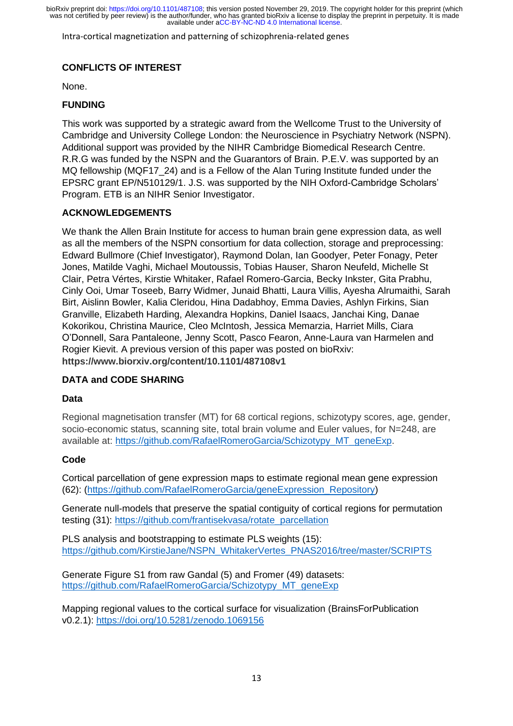Intra-cortical magnetization and patterning of schizophrenia-related genes

# **CONFLICTS OF INTEREST**

None.

#### **FUNDING**

This work was supported by a strategic award from the Wellcome Trust to the University of Cambridge and University College London: the Neuroscience in Psychiatry Network (NSPN). Additional support was provided by the NIHR Cambridge Biomedical Research Centre. R.R.G was funded by the NSPN and the Guarantors of Brain. P.E.V. was supported by an MQ fellowship (MQF17\_24) and is a Fellow of the Alan Turing Institute funded under the EPSRC grant EP/N510129/1. J.S. was supported by the NIH Oxford-Cambridge Scholars' Program. ETB is an NIHR Senior Investigator.

#### **ACKNOWLEDGEMENTS**

We thank the Allen Brain Institute for access to human brain gene expression data, as well as all the members of the NSPN consortium for data collection, storage and preprocessing: Edward Bullmore (Chief Investigator), Raymond Dolan, Ian Goodyer, Peter Fonagy, Peter Jones, Matilde Vaghi, Michael Moutoussis, Tobias Hauser, Sharon Neufeld, Michelle St Clair, Petra Vértes, Kirstie Whitaker, Rafael Romero-Garcia, Becky Inkster, Gita Prabhu, Cinly Ooi, Umar Toseeb, Barry Widmer, Junaid Bhatti, Laura Villis, Ayesha Alrumaithi, Sarah Birt, Aislinn Bowler, Kalia Cleridou, Hina Dadabhoy, Emma Davies, Ashlyn Firkins, Sian Granville, Elizabeth Harding, Alexandra Hopkins, Daniel Isaacs, Janchai King, Danae Kokorikou, Christina Maurice, Cleo McIntosh, Jessica Memarzia, Harriet Mills, Ciara O'Donnell, Sara Pantaleone, Jenny Scott, Pasco Fearon, Anne-Laura van Harmelen and Rogier Kievit. A previous version of this paper was posted on bioRxiv: **https://www.biorxiv.org/content/10.1101/487108v1**

# **DATA and CODE SHARING**

# **Data**

Regional magnetisation transfer (MT) for 68 cortical regions, schizotypy scores, age, gender, socio-economic status, scanning site, total brain volume and Euler values, for N=248, are available at: [https://github.com/RafaelRomeroGarcia/Schizotypy\\_MT\\_geneExp.](https://github.com/RafaelRomeroGarcia/Schizotypy_MT_geneExp)

# **Code**

Cortical parcellation of gene expression maps to estimate regional mean gene expression (62): [\(https://github.com/RafaelRomeroGarcia/geneExpression\\_Repository\)](https://github.com/RafaelRomeroGarcia/geneExpression_Repository)

Generate null-models that preserve the spatial contiguity of cortical regions for permutation testing (31): [https://github.com/frantisekvasa/rotate\\_parcellation](https://github.com/frantisekvasa/rotate_parcellation)

PLS analysis and bootstrapping to estimate PLS weights (15): [https://github.com/KirstieJane/NSPN\\_WhitakerVertes\\_PNAS2016/tree/master/SCRIPTS](https://github.com/KirstieJane/NSPN_WhitakerVertes_PNAS2016/tree/master/SCRIPTS)

Generate Figure S1 from raw Gandal (5) and Fromer (49) datasets: [https://github.com/RafaelRomeroGarcia/Schizotypy\\_MT\\_geneExp](https://github.com/RafaelRomeroGarcia/Schizotypy_MT_geneExp)

Mapping regional values to the cortical surface for visualization (BrainsForPublication v0.2.1):<https://doi.org/10.5281/zenodo.1069156>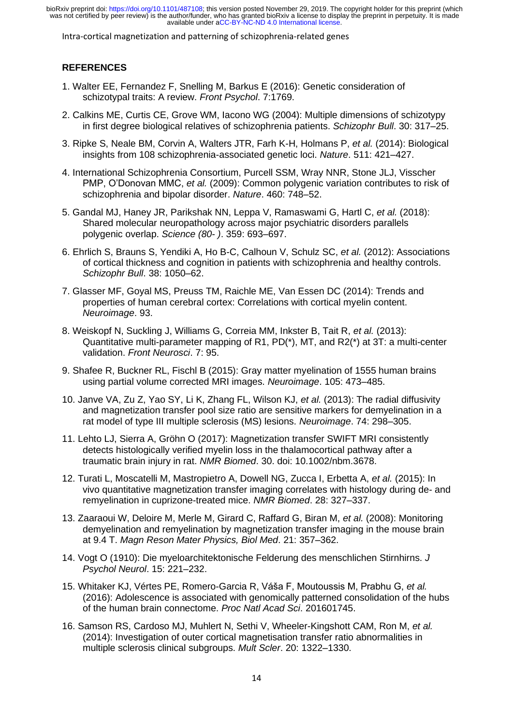Intra-cortical magnetization and patterning of schizophrenia-related genes

# **REFERENCES**

- 1. Walter EE, Fernandez F, Snelling M, Barkus E (2016): Genetic consideration of schizotypal traits: A review. *Front Psychol*. 7:1769.
- 2. Calkins ME, Curtis CE, Grove WM, Iacono WG (2004): Multiple dimensions of schizotypy in first degree biological relatives of schizophrenia patients. *Schizophr Bull*. 30: 317–25.
- 3. Ripke S, Neale BM, Corvin A, Walters JTR, Farh K-H, Holmans P, *et al.* (2014): Biological insights from 108 schizophrenia-associated genetic loci. *Nature*. 511: 421–427.
- 4. International Schizophrenia Consortium, Purcell SSM, Wray NNR, Stone JLJ, Visscher PMP, O'Donovan MMC, *et al.* (2009): Common polygenic variation contributes to risk of schizophrenia and bipolar disorder. *Nature*. 460: 748–52.
- 5. Gandal MJ, Haney JR, Parikshak NN, Leppa V, Ramaswami G, Hartl C, *et al.* (2018): Shared molecular neuropathology across major psychiatric disorders parallels polygenic overlap. *Science (80- )*. 359: 693–697.
- 6. Ehrlich S, Brauns S, Yendiki A, Ho B-C, Calhoun V, Schulz SC, *et al.* (2012): Associations of cortical thickness and cognition in patients with schizophrenia and healthy controls. *Schizophr Bull*. 38: 1050–62.
- 7. Glasser MF, Goyal MS, Preuss TM, Raichle ME, Van Essen DC (2014): Trends and properties of human cerebral cortex: Correlations with cortical myelin content. *Neuroimage*. 93.
- 8. Weiskopf N, Suckling J, Williams G, Correia MM, Inkster B, Tait R, *et al.* (2013): Quantitative multi-parameter mapping of R1, PD(\*), MT, and R2(\*) at 3T: a multi-center validation. *Front Neurosci*. 7: 95.
- 9. Shafee R, Buckner RL, Fischl B (2015): Gray matter myelination of 1555 human brains using partial volume corrected MRI images. *Neuroimage*. 105: 473–485.
- 10. Janve VA, Zu Z, Yao SY, Li K, Zhang FL, Wilson KJ, *et al.* (2013): The radial diffusivity and magnetization transfer pool size ratio are sensitive markers for demyelination in a rat model of type III multiple sclerosis (MS) lesions. *Neuroimage*. 74: 298–305.
- 11. Lehto LJ, Sierra A, Gröhn O (2017): Magnetization transfer SWIFT MRI consistently detects histologically verified myelin loss in the thalamocortical pathway after a traumatic brain injury in rat. *NMR Biomed*. 30. doi: 10.1002/nbm.3678.
- 12. Turati L, Moscatelli M, Mastropietro A, Dowell NG, Zucca I, Erbetta A, *et al.* (2015): In vivo quantitative magnetization transfer imaging correlates with histology during de- and remyelination in cuprizone-treated mice. *NMR Biomed*. 28: 327–337.
- 13. Zaaraoui W, Deloire M, Merle M, Girard C, Raffard G, Biran M, *et al.* (2008): Monitoring demyelination and remyelination by magnetization transfer imaging in the mouse brain at 9.4 T. *Magn Reson Mater Physics, Biol Med*. 21: 357–362.
- 14. Vogt O (1910): Die myeloarchitektonische Felderung des menschlichen Stirnhirns. *J Psychol Neurol*. 15: 221–232.
- 15. Whitaker KJ, Vértes PE, Romero-Garcia R, Váša F, Moutoussis M, Prabhu G, *et al.* (2016): Adolescence is associated with genomically patterned consolidation of the hubs of the human brain connectome. *Proc Natl Acad Sci*. 201601745.
- 16. Samson RS, Cardoso MJ, Muhlert N, Sethi V, Wheeler-Kingshott CAM, Ron M, *et al.* (2014): Investigation of outer cortical magnetisation transfer ratio abnormalities in multiple sclerosis clinical subgroups. *Mult Scler*. 20: 1322–1330.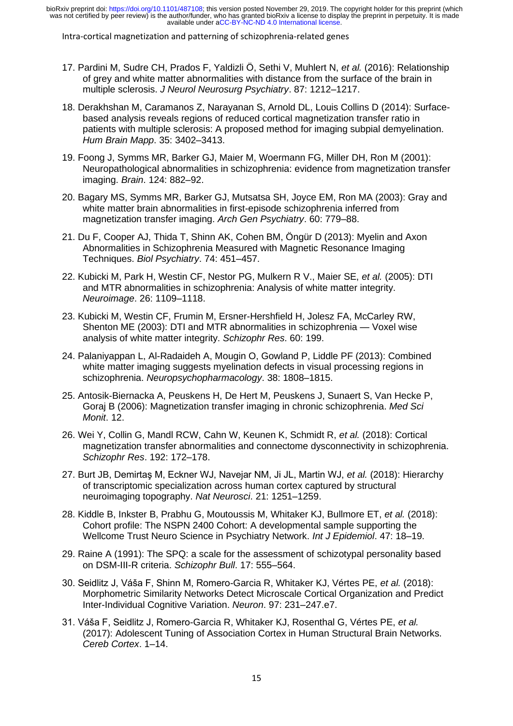Intra-cortical magnetization and patterning of schizophrenia-related genes

- 17. Pardini M, Sudre CH, Prados F, Yaldizli Ö, Sethi V, Muhlert N, *et al.* (2016): Relationship of grey and white matter abnormalities with distance from the surface of the brain in multiple sclerosis. *J Neurol Neurosurg Psychiatry*. 87: 1212–1217.
- 18. Derakhshan M, Caramanos Z, Narayanan S, Arnold DL, Louis Collins D (2014): Surfacebased analysis reveals regions of reduced cortical magnetization transfer ratio in patients with multiple sclerosis: A proposed method for imaging subpial demyelination. *Hum Brain Mapp*. 35: 3402–3413.
- 19. Foong J, Symms MR, Barker GJ, Maier M, Woermann FG, Miller DH, Ron M (2001): Neuropathological abnormalities in schizophrenia: evidence from magnetization transfer imaging. *Brain*. 124: 882–92.
- 20. Bagary MS, Symms MR, Barker GJ, Mutsatsa SH, Joyce EM, Ron MA (2003): Gray and white matter brain abnormalities in first-episode schizophrenia inferred from magnetization transfer imaging. *Arch Gen Psychiatry*. 60: 779–88.
- 21. Du F, Cooper AJ, Thida T, Shinn AK, Cohen BM, Öngür D (2013): Myelin and Axon Abnormalities in Schizophrenia Measured with Magnetic Resonance Imaging Techniques. *Biol Psychiatry*. 74: 451–457.
- 22. Kubicki M, Park H, Westin CF, Nestor PG, Mulkern R V., Maier SE, *et al.* (2005): DTI and MTR abnormalities in schizophrenia: Analysis of white matter integrity. *Neuroimage*. 26: 1109–1118.
- 23. Kubicki M, Westin CF, Frumin M, Ersner-Hershfield H, Jolesz FA, McCarley RW, Shenton ME (2003): DTI and MTR abnormalities in schizophrenia — Voxel wise analysis of white matter integrity. *Schizophr Res*. 60: 199.
- 24. Palaniyappan L, Al-Radaideh A, Mougin O, Gowland P, Liddle PF (2013): Combined white matter imaging suggests myelination defects in visual processing regions in schizophrenia. *Neuropsychopharmacology*. 38: 1808–1815.
- 25. Antosik-Biernacka A, Peuskens H, De Hert M, Peuskens J, Sunaert S, Van Hecke P, Goraj B (2006): Magnetization transfer imaging in chronic schizophrenia. *Med Sci Monit*. 12.
- 26. Wei Y, Collin G, Mandl RCW, Cahn W, Keunen K, Schmidt R, *et al.* (2018): Cortical magnetization transfer abnormalities and connectome dysconnectivity in schizophrenia. *Schizophr Res*. 192: 172–178.
- 27. Burt JB, Demirtaş M, Eckner WJ, Navejar NM, Ji JL, Martin WJ, *et al.* (2018): Hierarchy of transcriptomic specialization across human cortex captured by structural neuroimaging topography. *Nat Neurosci*. 21: 1251–1259.
- 28. Kiddle B, Inkster B, Prabhu G, Moutoussis M, Whitaker KJ, Bullmore ET, *et al.* (2018): Cohort profile: The NSPN 2400 Cohort: A developmental sample supporting the Wellcome Trust Neuro Science in Psychiatry Network. *Int J Epidemiol*. 47: 18–19.
- 29. Raine A (1991): The SPQ: a scale for the assessment of schizotypal personality based on DSM-III-R criteria. *Schizophr Bull*. 17: 555–564.
- 30. Seidlitz J, Váša F, Shinn M, Romero-Garcia R, Whitaker KJ, Vértes PE, *et al.* (2018): Morphometric Similarity Networks Detect Microscale Cortical Organization and Predict Inter-Individual Cognitive Variation. *Neuron*. 97: 231–247.e7.
- 31. Váša F, Seidlitz J, Romero-Garcia R, Whitaker KJ, Rosenthal G, Vértes PE, *et al.* (2017): Adolescent Tuning of Association Cortex in Human Structural Brain Networks. *Cereb Cortex*. 1–14.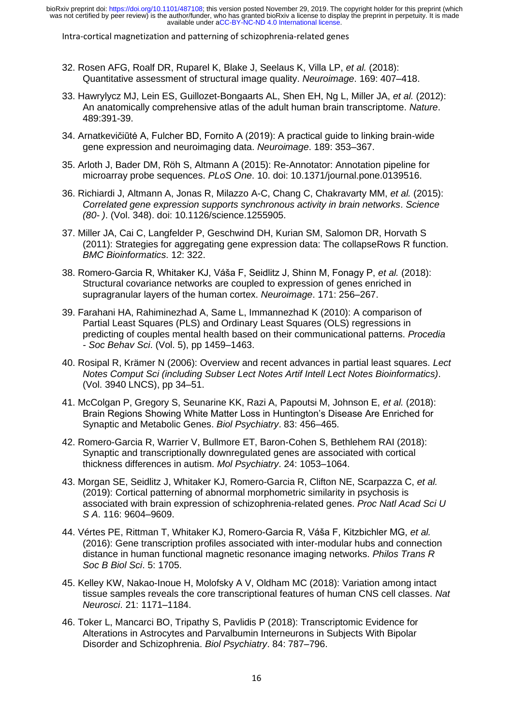Intra-cortical magnetization and patterning of schizophrenia-related genes

- 32. Rosen AFG, Roalf DR, Ruparel K, Blake J, Seelaus K, Villa LP, *et al.* (2018): Quantitative assessment of structural image quality. *Neuroimage*. 169: 407–418.
- 33. Hawrylycz MJ, Lein ES, Guillozet-Bongaarts AL, Shen EH, Ng L, Miller JA, *et al.* (2012): An anatomically comprehensive atlas of the adult human brain transcriptome. *Nature*. 489:391-39.
- 34. Arnatkevic̆iūtė A, Fulcher BD, Fornito A (2019): A practical guide to linking brain-wide gene expression and neuroimaging data. *Neuroimage*. 189: 353–367.
- 35. Arloth J, Bader DM, Röh S, Altmann A (2015): Re-Annotator: Annotation pipeline for microarray probe sequences. *PLoS One*. 10. doi: 10.1371/journal.pone.0139516.
- 36. Richiardi J, Altmann A, Jonas R, Milazzo A-C, Chang C, Chakravarty MM, *et al.* (2015): *Correlated gene expression supports synchronous activity in brain networks*. *Science (80- )*. (Vol. 348). doi: 10.1126/science.1255905.
- 37. Miller JA, Cai C, Langfelder P, Geschwind DH, Kurian SM, Salomon DR, Horvath S (2011): Strategies for aggregating gene expression data: The collapseRows R function. *BMC Bioinformatics*. 12: 322.
- 38. Romero-Garcia R, Whitaker KJ, Váša F, Seidlitz J, Shinn M, Fonagy P, *et al.* (2018): Structural covariance networks are coupled to expression of genes enriched in supragranular layers of the human cortex. *Neuroimage*. 171: 256–267.
- 39. Farahani HA, Rahiminezhad A, Same L, Immannezhad K (2010): A comparison of Partial Least Squares (PLS) and Ordinary Least Squares (OLS) regressions in predicting of couples mental health based on their communicational patterns. *Procedia - Soc Behav Sci*. (Vol. 5), pp 1459–1463.
- 40. Rosipal R, Krämer N (2006): Overview and recent advances in partial least squares. *Lect Notes Comput Sci (including Subser Lect Notes Artif Intell Lect Notes Bioinformatics)*. (Vol. 3940 LNCS), pp 34–51.
- 41. McColgan P, Gregory S, Seunarine KK, Razi A, Papoutsi M, Johnson E, *et al.* (2018): Brain Regions Showing White Matter Loss in Huntington's Disease Are Enriched for Synaptic and Metabolic Genes. *Biol Psychiatry*. 83: 456–465.
- 42. Romero-Garcia R, Warrier V, Bullmore ET, Baron-Cohen S, Bethlehem RAI (2018): Synaptic and transcriptionally downregulated genes are associated with cortical thickness differences in autism. *Mol Psychiatry*. 24: 1053–1064.
- 43. Morgan SE, Seidlitz J, Whitaker KJ, Romero-Garcia R, Clifton NE, Scarpazza C, *et al.* (2019): Cortical patterning of abnormal morphometric similarity in psychosis is associated with brain expression of schizophrenia-related genes. *Proc Natl Acad Sci U S A*. 116: 9604–9609.
- 44. Vértes PE, Rittman T, Whitaker KJ, Romero-Garcia R, Váša F, Kitzbichler MG, *et al.* (2016): Gene transcription profiles associated with inter-modular hubs and connection distance in human functional magnetic resonance imaging networks. *Philos Trans R Soc B Biol Sci*. 5: 1705.
- 45. Kelley KW, Nakao-Inoue H, Molofsky A V, Oldham MC (2018): Variation among intact tissue samples reveals the core transcriptional features of human CNS cell classes. *Nat Neurosci*. 21: 1171–1184.
- 46. Toker L, Mancarci BO, Tripathy S, Pavlidis P (2018): Transcriptomic Evidence for Alterations in Astrocytes and Parvalbumin Interneurons in Subjects With Bipolar Disorder and Schizophrenia. *Biol Psychiatry*. 84: 787–796.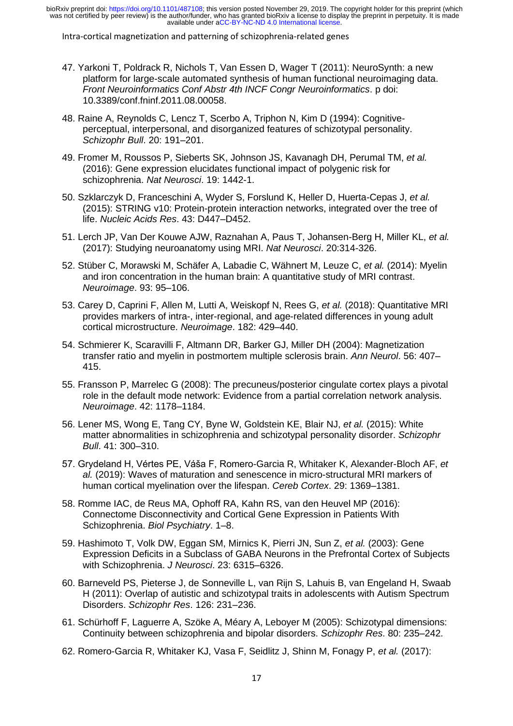Intra-cortical magnetization and patterning of schizophrenia-related genes

- 47. Yarkoni T, Poldrack R, Nichols T, Van Essen D, Wager T (2011): NeuroSynth: a new platform for large-scale automated synthesis of human functional neuroimaging data. *Front Neuroinformatics Conf Abstr 4th INCF Congr Neuroinformatics*. p doi: 10.3389/conf.fninf.2011.08.00058.
- 48. Raine A, Reynolds C, Lencz T, Scerbo A, Triphon N, Kim D (1994): Cognitiveperceptual, interpersonal, and disorganized features of schizotypal personality. *Schizophr Bull*. 20: 191–201.
- 49. Fromer M, Roussos P, Sieberts SK, Johnson JS, Kavanagh DH, Perumal TM, *et al.* (2016): Gene expression elucidates functional impact of polygenic risk for schizophrenia. *Nat Neurosci*. 19: 1442-1.
- 50. Szklarczyk D, Franceschini A, Wyder S, Forslund K, Heller D, Huerta-Cepas J, *et al.* (2015): STRING v10: Protein-protein interaction networks, integrated over the tree of life. *Nucleic Acids Res*. 43: D447–D452.
- 51. Lerch JP, Van Der Kouwe AJW, Raznahan A, Paus T, Johansen-Berg H, Miller KL, *et al.* (2017): Studying neuroanatomy using MRI. *Nat Neurosci*. 20:314-326.
- 52. Stüber C, Morawski M, Schäfer A, Labadie C, Wähnert M, Leuze C, *et al.* (2014): Myelin and iron concentration in the human brain: A quantitative study of MRI contrast. *Neuroimage*. 93: 95–106.
- 53. Carey D, Caprini F, Allen M, Lutti A, Weiskopf N, Rees G, *et al.* (2018): Quantitative MRI provides markers of intra-, inter-regional, and age-related differences in young adult cortical microstructure. *Neuroimage*. 182: 429–440.
- 54. Schmierer K, Scaravilli F, Altmann DR, Barker GJ, Miller DH (2004): Magnetization transfer ratio and myelin in postmortem multiple sclerosis brain. *Ann Neurol*. 56: 407– 415.
- 55. Fransson P, Marrelec G (2008): The precuneus/posterior cingulate cortex plays a pivotal role in the default mode network: Evidence from a partial correlation network analysis. *Neuroimage*. 42: 1178–1184.
- 56. Lener MS, Wong E, Tang CY, Byne W, Goldstein KE, Blair NJ, *et al.* (2015): White matter abnormalities in schizophrenia and schizotypal personality disorder. *Schizophr Bull*. 41: 300–310.
- 57. Grydeland H, Vértes PE, Váša F, Romero-Garcia R, Whitaker K, Alexander-Bloch AF, *et al.* (2019): Waves of maturation and senescence in micro-structural MRI markers of human cortical myelination over the lifespan. *Cereb Cortex*. 29: 1369–1381.
- 58. Romme IAC, de Reus MA, Ophoff RA, Kahn RS, van den Heuvel MP (2016): Connectome Disconnectivity and Cortical Gene Expression in Patients With Schizophrenia. *Biol Psychiatry*. 1–8.
- 59. Hashimoto T, Volk DW, Eggan SM, Mirnics K, Pierri JN, Sun Z, *et al.* (2003): Gene Expression Deficits in a Subclass of GABA Neurons in the Prefrontal Cortex of Subjects with Schizophrenia. *J Neurosci*. 23: 6315–6326.
- 60. Barneveld PS, Pieterse J, de Sonneville L, van Rijn S, Lahuis B, van Engeland H, Swaab H (2011): Overlap of autistic and schizotypal traits in adolescents with Autism Spectrum Disorders. *Schizophr Res*. 126: 231–236.
- 61. Schürhoff F, Laguerre A, Szöke A, Méary A, Leboyer M (2005): Schizotypal dimensions: Continuity between schizophrenia and bipolar disorders. *Schizophr Res*. 80: 235–242.
- 62. Romero-Garcia R, Whitaker KJ, Vasa F, Seidlitz J, Shinn M, Fonagy P, *et al.* (2017):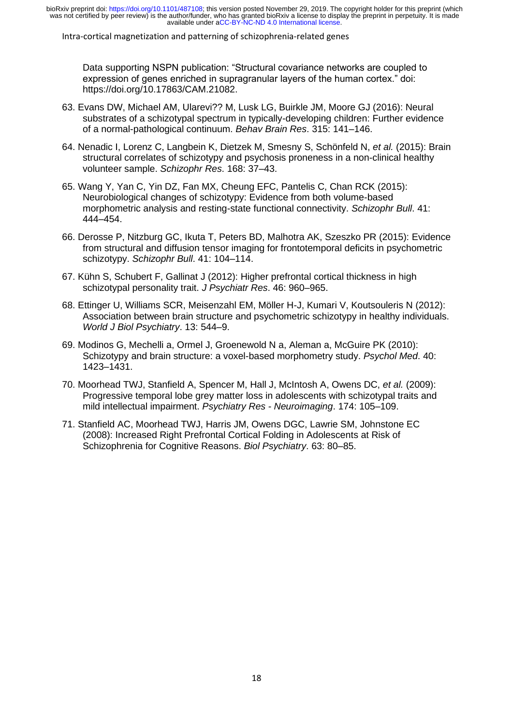Intra-cortical magnetization and patterning of schizophrenia-related genes

Data supporting NSPN publication: "Structural covariance networks are coupled to expression of genes enriched in supragranular layers of the human cortex." doi: https://doi.org/10.17863/CAM.21082.

- 63. Evans DW, Michael AM, Ularevi?? M, Lusk LG, Buirkle JM, Moore GJ (2016): Neural substrates of a schizotypal spectrum in typically-developing children: Further evidence of a normal-pathological continuum. *Behav Brain Res*. 315: 141–146.
- 64. Nenadic I, Lorenz C, Langbein K, Dietzek M, Smesny S, Schönfeld N, *et al.* (2015): Brain structural correlates of schizotypy and psychosis proneness in a non-clinical healthy volunteer sample. *Schizophr Res*. 168: 37–43.
- 65. Wang Y, Yan C, Yin DZ, Fan MX, Cheung EFC, Pantelis C, Chan RCK (2015): Neurobiological changes of schizotypy: Evidence from both volume-based morphometric analysis and resting-state functional connectivity. *Schizophr Bull*. 41: 444–454.
- 66. Derosse P, Nitzburg GC, Ikuta T, Peters BD, Malhotra AK, Szeszko PR (2015): Evidence from structural and diffusion tensor imaging for frontotemporal deficits in psychometric schizotypy. *Schizophr Bull*. 41: 104–114.
- 67. Kühn S, Schubert F, Gallinat J (2012): Higher prefrontal cortical thickness in high schizotypal personality trait. *J Psychiatr Res*. 46: 960–965.
- 68. Ettinger U, Williams SCR, Meisenzahl EM, Möller H-J, Kumari V, Koutsouleris N (2012): Association between brain structure and psychometric schizotypy in healthy individuals. *World J Biol Psychiatry*. 13: 544–9.
- 69. Modinos G, Mechelli a, Ormel J, Groenewold N a, Aleman a, McGuire PK (2010): Schizotypy and brain structure: a voxel-based morphometry study. *Psychol Med*. 40: 1423–1431.
- 70. Moorhead TWJ, Stanfield A, Spencer M, Hall J, McIntosh A, Owens DC, *et al.* (2009): Progressive temporal lobe grey matter loss in adolescents with schizotypal traits and mild intellectual impairment. *Psychiatry Res - Neuroimaging*. 174: 105–109.
- 71. Stanfield AC, Moorhead TWJ, Harris JM, Owens DGC, Lawrie SM, Johnstone EC (2008): Increased Right Prefrontal Cortical Folding in Adolescents at Risk of Schizophrenia for Cognitive Reasons. *Biol Psychiatry*. 63: 80–85.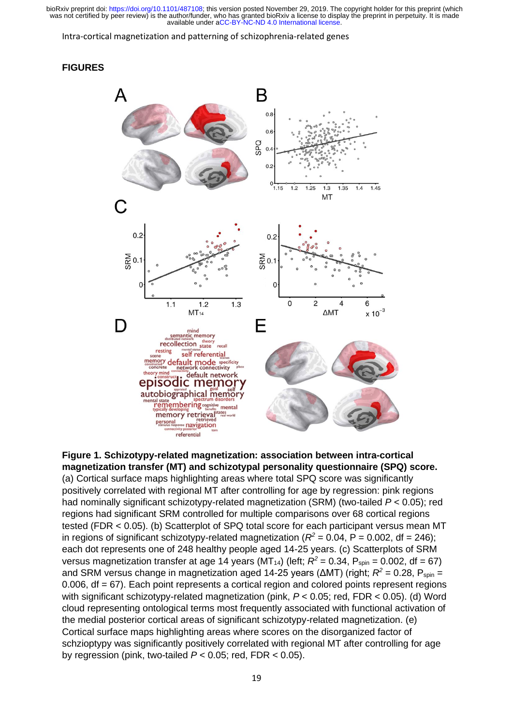Intra-cortical magnetization and patterning of schizophrenia-related genes

#### **FIGURES**



**Figure 1. Schizotypy-related magnetization: association between intra-cortical magnetization transfer (MT) and schizotypal personality questionnaire (SPQ) score.** (a) Cortical surface maps highlighting areas where total SPQ score was significantly positively correlated with regional MT after controlling for age by regression: pink regions had nominally significant schizotypy-related magnetization (SRM) (two-tailed *P* < 0.05); red regions had significant SRM controlled for multiple comparisons over 68 cortical regions tested (FDR < 0.05). (b) Scatterplot of SPQ total score for each participant versus mean MT in regions of significant schizotypy-related magnetization ( $R^2$  = 0.04, P = 0.002, df = 246); each dot represents one of 248 healthy people aged 14-25 years. (c) Scatterplots of SRM versus magnetization transfer at age 14 years (MT<sub>14</sub>) (left;  $R^2$  = 0.34, P<sub>spin</sub> = 0.002, df = 67) and SRM versus change in magnetization aged 14-25 years (ΔMT) (right;  $R^2$  = 0.28, P<sub>spin</sub> = 0.006, df = 67). Each point represents a cortical region and colored points represent regions with significant schizotypy-related magnetization (pink, *P* < 0.05; red, FDR < 0.05). (d) Word cloud representing ontological terms most frequently associated with functional activation of the medial posterior cortical areas of significant schizotypy-related magnetization. (e) Cortical surface maps highlighting areas where scores on the disorganized factor of schzioptypy was significantly positively correlated with regional MT after controlling for age by regression (pink, two-tailed *P* < 0.05; red, FDR < 0.05).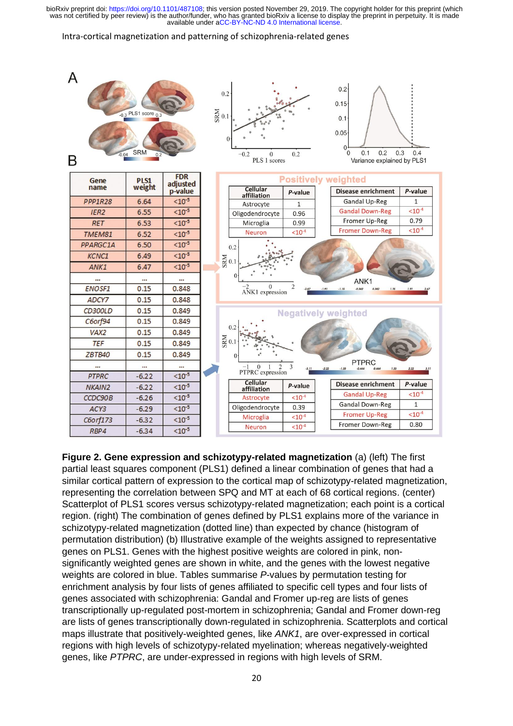#### Intra-cortical magnetization and patterning of schizophrenia-related genes



**Figure 2. Gene expression and schizotypy-related magnetization** (a) (left) The first partial least squares component (PLS1) defined a linear combination of genes that had a similar cortical pattern of expression to the cortical map of schizotypy-related magnetization, representing the correlation between SPQ and MT at each of 68 cortical regions. (center) Scatterplot of PLS1 scores versus schizotypy-related magnetization; each point is a cortical region. (right) The combination of genes defined by PLS1 explains more of the variance in schizotypy-related magnetization (dotted line) than expected by chance (histogram of permutation distribution) (b) Illustrative example of the weights assigned to representative genes on PLS1. Genes with the highest positive weights are colored in pink, nonsignificantly weighted genes are shown in white, and the genes with the lowest negative weights are colored in blue. Tables summarise *P*-values by permutation testing for enrichment analysis by four lists of genes affiliated to specific cell types and four lists of genes associated with schizophrenia: Gandal and Fromer up-reg are lists of genes transcriptionally up-regulated post-mortem in schizophrenia; Gandal and Fromer down-reg are lists of genes transcriptionally down-regulated in schizophrenia. Scatterplots and cortical maps illustrate that positively-weighted genes, like *ANK1*, are over-expressed in cortical regions with high levels of schizotypy-related myelination; whereas negatively-weighted genes, like *PTPRC*, are under-expressed in regions with high levels of SRM.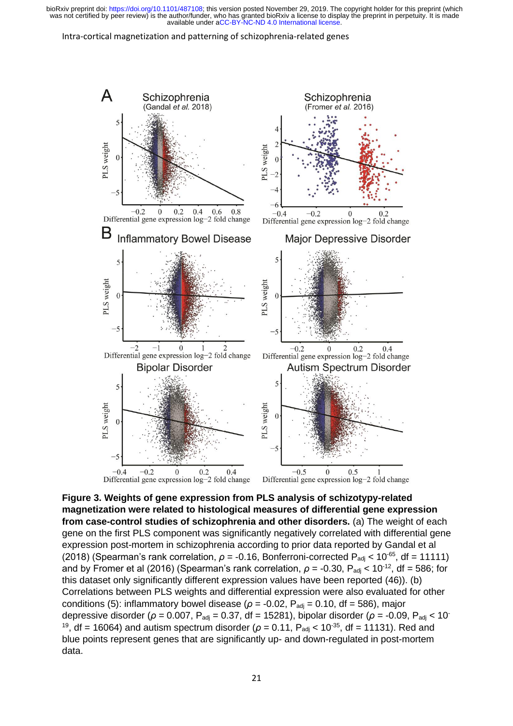#### Intra-cortical magnetization and patterning of schizophrenia-related genes



**Figure 3. Weights of gene expression from PLS analysis of schizotypy-related magnetization were related to histological measures of differential gene expression from case-control studies of schizophrenia and other disorders.** (a) The weight of each gene on the first PLS component was significantly negatively correlated with differential gene expression post-mortem in schizophrenia according to prior data reported by Gandal et al (2018) (Spearman's rank correlation,  $ρ = -0.16$ , Bonferroni-corrected P<sub>adj</sub> < 10<sup>-65</sup>, df = 11111) and by Fromer et al (2016) (Spearman's rank correlation,  $\rho = -0.30$ ,  $P_{\text{adj}} < 10^{-12}$ , df = 586; for this dataset only significantly different expression values have been reported (46)). (b) Correlations between PLS weights and differential expression were also evaluated for other conditions (5): inflammatory bowel disease ( $\rho$  = -0.02, P<sub>adj</sub> = 0.10, df = 586), major depressive disorder (*ρ* = 0.007, P<sub>adj</sub> = 0.37, df = 15281), bipolar disorder (*ρ* = -0.09, P<sub>adj</sub> < 10<sup>-</sup> <sup>19</sup>, df = 16064) and autism spectrum disorder ( $\rho$  = 0.11, P<sub>adj</sub> < 10<sup>-35</sup>, df = 11131). Red and blue points represent genes that are significantly up- and down-regulated in post-mortem data.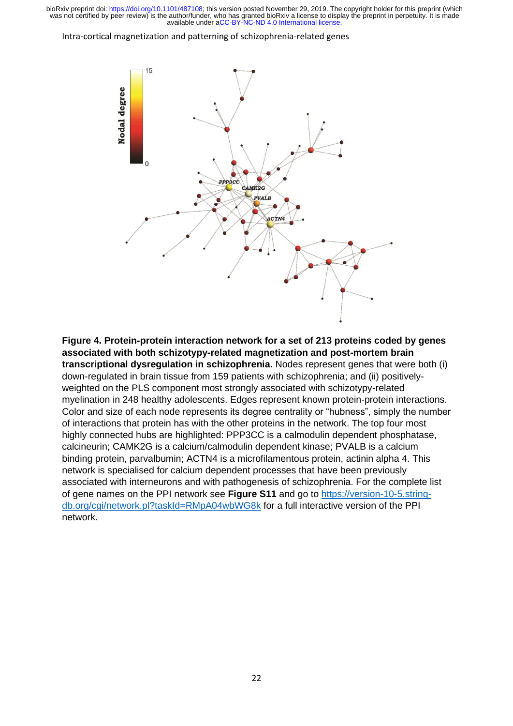#### Intra-cortical magnetization and patterning of schizophrenia-related genes



**Figure 4. Protein-protein interaction network for a set of 213 proteins coded by genes associated with both schizotypy-related magnetization and post-mortem brain transcriptional dysregulation in schizophrenia.** Nodes represent genes that were both (i) down-regulated in brain tissue from 159 patients with schizophrenia; and (ii) positivelyweighted on the PLS component most strongly associated with schizotypy-related myelination in 248 healthy adolescents. Edges represent known protein-protein interactions. Color and size of each node represents its degree centrality or "hubness", simply the number of interactions that protein has with the other proteins in the network. The top four most highly connected hubs are highlighted: PPP3CC is a calmodulin dependent phosphatase, calcineurin; CAMK2G is a calcium/calmodulin dependent kinase; PVALB is a calcium binding protein, parvalbumin; ACTN4 is a microfilamentous protein, actinin alpha 4. This network is specialised for calcium dependent processes that have been previously associated with interneurons and with pathogenesis of schizophrenia. For the complete list of gene names on the PPI network see **Figure S11** and go to [https://version-10-5.string](https://version-10-5.string-db.org/cgi/network.pl?taskId=RMpA04wbWG8k)[db.org/cgi/network.pl?taskId=RMpA04wbWG8k](https://version-10-5.string-db.org/cgi/network.pl?taskId=RMpA04wbWG8k) for a full interactive version of the PPI network.